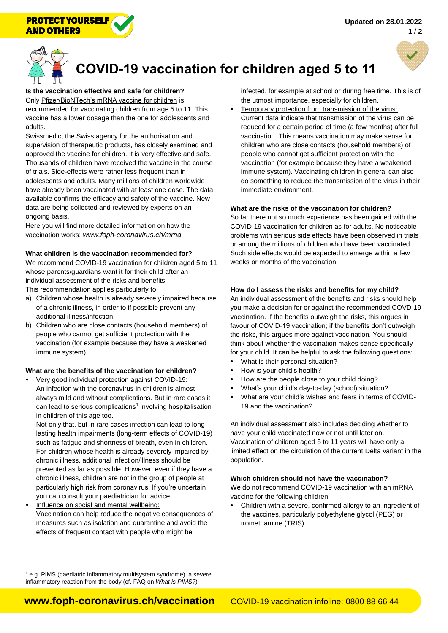



# **COVID-19 vaccination for children aged 5 to 11**

**Is the vaccination effective and safe for children?** Only Pfizer/BioNTech's mRNA vaccine for children is recommended for vaccinating children from age 5 to 11. This vaccine has a lower dosage than the one for adolescents and

adults. Swissmedic, the Swiss agency for the authorisation and supervision of therapeutic products, has closely examined and approved the vaccine for children. It is very effective and safe. Thousands of children have received the vaccine in the course of trials. Side-effects were rather less frequent than in adolescents and adults. Many millions of children worldwide have already been vaccinated with at least one dose. The data available confirms the efficacy and safety of the vaccine. New data are being collected and reviewed by experts on an ongoing basis.

Here you will find more detailed information on how the vaccination works: *<www.foph-coronavirus.ch/mrna>*

#### **What children is the vaccination recommended for?**

We recommend COVID-19 vaccination for children aged 5 to 11 whose parents/guardians want it for their child after an individual assessment of the risks and benefits.

This recommendation applies particularly to

- a) Children whose health is already severely impaired because of a chronic illness, in order to if possible prevent any additional illness/infection.
- b) Children who are close contacts (household members) of people who cannot get sufficient protection with the vaccination (for example because they have a weakened immune system).

#### **What are the benefits of the vaccination for children?**

 Very good individual protection against COVID-19: An infection with the coronavirus in children is almost always mild and without complications. But in rare cases it can lead to serious complications<sup>1</sup> involving hospitalisation in children of this age too.

Not only that, but in rare cases infection can lead to longlasting health impairments (long-term effects of COVID-19) such as fatigue and shortness of breath, even in children. For children whose health is already severely impaired by chronic illness, additional infection/illness should be prevented as far as possible. However, even if they have a chronic illness, children are not in the group of people at particularly high risk from coronavirus. If you're uncertain you can consult your paediatrician for advice.

 Influence on social and mental wellbeing: Vaccination can help reduce the negative consequences of measures such as isolation and quarantine and avoid the effects of frequent contact with people who might be

infected, for example at school or during free time. This is of the utmost importance, especially for children.

 Temporary protection from transmission of the virus: Current data indicate that transmission of the virus can be reduced for a certain period of time (a few months) after full vaccination. This means vaccination may make sense for children who are close contacts (household members) of people who cannot get sufficient protection with the vaccination (for example because they have a weakened immune system). Vaccinating children in general can also do something to reduce the transmission of the virus in their immediate environment.

#### **What are the risks of the vaccination for children?**

So far there not so much experience has been gained with the COVID-19 vaccination for children as for adults. No noticeable problems with serious side effects have been observed in trials or among the millions of children who have been vaccinated. Such side effects would be expected to emerge within a few weeks or months of the vaccination.

#### **How do I assess the risks and benefits for my child?**

An individual assessment of the benefits and risks should help you make a decision for or against the recommended COVD-19 vaccination. If the benefits outweigh the risks, this argues in favour of COVID-19 vaccination; if the benefits don't outweigh the risks, this argues more against vaccination. You should think about whether the vaccination makes sense specifically for your child. It can be helpful to ask the following questions:

- What is their personal situation?
- How is your child's health?
- How are the people close to your child doing?
- What's your child's day-to-day (school) situation?
- What are your child's wishes and fears in terms of COVID-19 and the vaccination?

An individual assessment also includes deciding whether to have your child vaccinated now or not until later on. Vaccination of children aged 5 to 11 years will have only a limited effect on the circulation of the current Delta variant in the population.

#### **Which children should not have the vaccination?**

We do not recommend COVID-19 vaccination with an mRNA vaccine for the following children:

 Children with a severe, confirmed allergy to an ingredient of the vaccines, particularly polyethylene glycol (PEG) or tromethamine (TRIS).

 $\overline{a}$  $1$  e.g. PIMS (paediatric inflammatory multisystem syndrome), a severe inflammatory reaction from the body (cf. FAQ on *[What is PIMS?](URL%20englisch???)*)